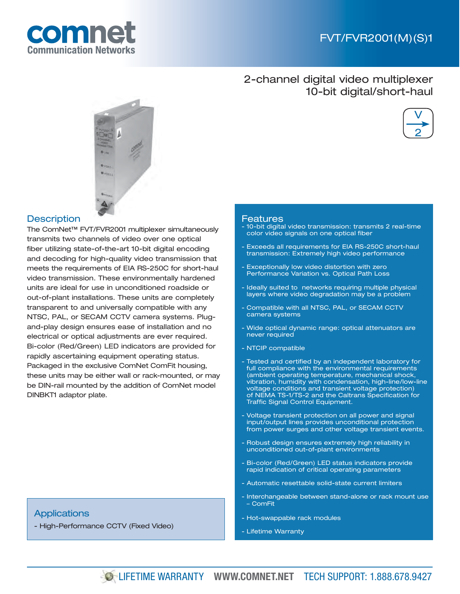

### 2-channel digital video multiplexer 10-bit digital/short-haul





### **Description**

The ComNet™ FVT/FVR2001 multiplexer simultaneously transmits two channels of video over one optical fiber utilizing state-of-the-art 10-bit digital encoding and decoding for high-quality video transmission that meets the requirements of EIA RS-250C for short-haul video transmission. These environmentally hardened units are ideal for use in unconditioned roadside or out-of-plant installations. These units are completely transparent to and universally compatible with any NTSC, PAL, or SECAM CCTV camera systems. Plugand-play design ensures ease of installation and no electrical or optical adjustments are ever required. Bi-color (Red/Green) LED indicators are provided for rapidly ascertaining equipment operating status. Packaged in the exclusive ComNet ComFit housing, these units may be either wall or rack-mounted, or may be DIN-rail mounted by the addition of ComNet model DINBKT1 adaptor plate.

### **Applications**

- High-Performance CCTV (Fixed Video)

#### Features

- 10-bit digital video transmission: transmits 2 real-time color video signals on one optical fiber
- Exceeds all requirements for EIA RS-250C short-haul transmission: Extremely high video performance
- Exceptionally low video distortion with zero Performance Variation vs. Optical Path Loss
- Ideally suited to networks requiring multiple physical layers where video degradation may be a problem
- Compatible with all NTSC, PAL, or SECAM CCTV camera systems
- Wide optical dynamic range: optical attenuators are never required
- NTCIP compatible
- Tested and certified by an independent laboratory for full compliance with the environmental requirements (ambient operating temperature, mechanical shock, vibration, humidity with condensation, high-line/low-line voltage conditions and transient voltage protection) of NEMA TS-1/TS-2 and the Caltrans Specification for Traffic Signal Control Equipment.
- Voltage transient protection on all power and signal input/output lines provides unconditional protection from power surges and other voltage transient events.
- Robust design ensures extremely high reliability in unconditioned out-of-plant environments
- Bi-color (Red/Green) LED status indicators provide rapid indication of critical operating parameters
- Automatic resettable solid-state current limiters
- Interchangeable between stand-alone or rack mount use – ComFit
- Hot-swappable rack modules
- Lifetime Warranty